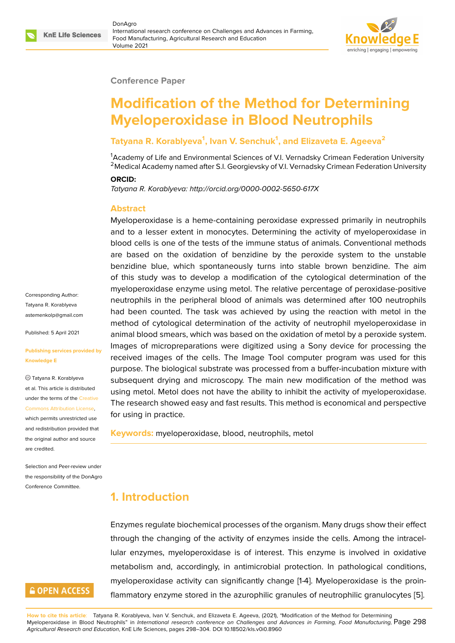#### **Conference Paper**

# **Modification of the Method for Determining Myeloperoxidase in Blood Neutrophils**

#### **Tatyana R. Korablyeva<sup>1</sup> , Ivan V. Senchuk<sup>1</sup> , and Elizaveta E. Ageeva<sup>2</sup>**

<sup>1</sup>Academy of Life and Environmental Sciences of V.I. Vernadsky Crimean Federation University <sup>2</sup> Medical Academy named after S.I. Georgievsky of V.I. Vernadsky Crimean Federation University

#### **ORCID:**

*Tatyana R. Korablyeva: http://orcid.org/0000-0002-5650-617X*

#### **Abstract**

Myeloperoxidase is a heme-containing peroxidase expressed primarily in neutrophils and to a lesser extent in monocytes. Determining the activity of myeloperoxidase in blood cells is one of the tests of the immune status of animals. Conventional methods are based on the oxidation of benzidine by the peroxide system to the unstable benzidine blue, which spontaneously turns into stable brown benzidine. The aim of this study was to develop a modification of the cytological determination of the myeloperoxidase enzyme using metol. The relative percentage of peroxidase-positive neutrophils in the peripheral blood of animals was determined after 100 neutrophils had been counted. The task was achieved by using the reaction with metol in the method of cytological determination of the activity of neutrophil myeloperoxidase in animal blood smears, which was based on the oxidation of metol by a peroxide system. Images of micropreparations were digitized using a Sony device for processing the received images of the cells. The Image Tool computer program was used for this purpose. The biological substrate was processed from a buffer-incubation mixture with subsequent drying and microscopy. The main new modification of the method was using metol. Metol does not have the ability to inhibit the activity of myeloperoxidase. The research showed easy and fast results. This method is economical and perspective for using in practice.

**Keywords:** myeloperoxidase, blood, neutrophils, metol

# **1. Introduction**

Enzymes regulate biochemical processes of the organism. Many drugs show their effect through the changing of the activity of enzymes inside the cells. Among the intracellular enzymes, myeloperoxidase is of interest. This enzyme is involved in oxidative metabolism and, accordingly, in antimicrobial protection. In pathological conditions, myeloperoxidase activity can significantly change [1-4]. Myeloperoxidase is the proinflammatory enzyme stored in the azurophilic granules of neutrophilic granulocytes [5].

**How to cite this article**: Tatyana R. Korablyeva, Ivan V. Senchuk, and Elizaveta E. Ageeva, (2021), "Modification of the Method for Determining Myeloperoxidase in Blood Neutrophils" in *International research conference on Challenges and Advances in Farming, Food Manufacturing,* Page 298 *Agricultural Research and Education*, KnE Life Sciences, pages 298–304. DOI 10.18502/kls.v0i0.8960

Corresponding Author: Tatyana R. Korablyeva astemenkolp@gmail.com

Published: 5 April 2021

#### **[Publishing services prov](mailto:astemenkolp@gmail.com)ided by Knowledge E**

Tatyana R. Korablyeva et al. This article is distributed under the terms of the Creative Commons Attribution License,

which permits unrestricted use and redistribution provided that the original author and [source](https://creativecommons.org/licenses/by/4.0/) [are credited.](https://creativecommons.org/licenses/by/4.0/)

Selection and Peer-review under the responsibility of the DonAgro Conference Committee.

# **GOPEN ACCESS**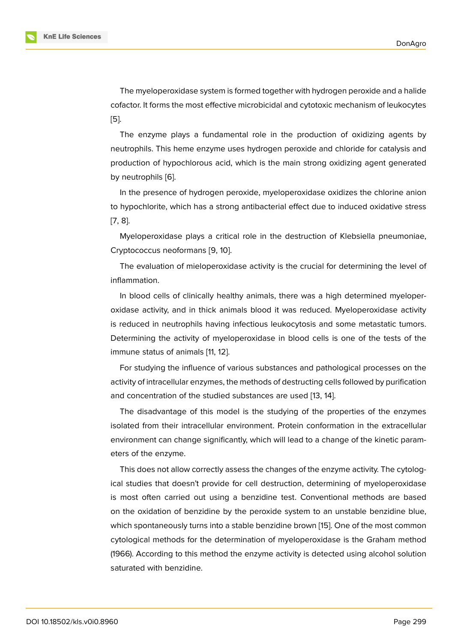The myeloperoxidase system is formed together with hydrogen peroxide and a halide cofactor. It forms the most effective microbicidal and cytotoxic mechanism of leukocytes [5].

The enzyme plays a fundamental role in the production of oxidizing agents by neutrophils. This heme enzyme uses hydrogen peroxide and chloride for catalysis and [pr](#page-5-0)oduction of hypochlorous acid, which is the main strong oxidizing agent generated by neutrophils [6].

In the presence of hydrogen peroxide, myeloperoxidase oxidizes the chlorine anion to hypochlorite[, w](#page-5-1)hich has a strong antibacterial effect due to induced oxidative stress [7, 8].

Myeloperoxidase plays a critical role in the destruction of Klebsiella pneumoniae, [Cr](#page-6-0)yptococcus neoformans [9, 10].

[Th](#page-6-1)e evaluation of mieloperoxidase activity is the crucial for determining the level of inflammation.

In blood cells of clinicall[y](#page-6-2) [hea](#page-6-3)lthy animals, there was a high determined myeloperoxidase activity, and in thick animals blood it was reduced. Myeloperoxidase activity is reduced in neutrophils having infectious leukocytosis and some metastatic tumors. Determining the activity of myeloperoxidase in blood cells is one of the tests of the immune status of animals [11, 12].

For studying the influence of various substances and pathological processes on the activity of intracellular enzymes, the methods of destructing cells followed by purification and concentration of the s[tu](#page-6-4)[died](#page-6-5) substances are used [13, 14].

The disadvantage of this model is the studying of the properties of the enzymes isolated from their intracellular environment. Protein conformation in the extracellular environment can change significantly, which will lead t[o a](#page-6-6) [cha](#page-6-7)nge of the kinetic parameters of the enzyme.

This does not allow correctly assess the changes of the enzyme activity. The cytological studies that doesn't provide for cell destruction, determining of myeloperoxidase is most often carried out using a benzidine test. Conventional methods are based on the oxidation of benzidine by the peroxide system to an unstable benzidine blue, which spontaneously turns into a stable benzidine brown [15]. One of the most common cytological methods for the determination of myeloperoxidase is the Graham method (1966). According to this method the enzyme activity is detected using alcohol solution saturated with benzidine.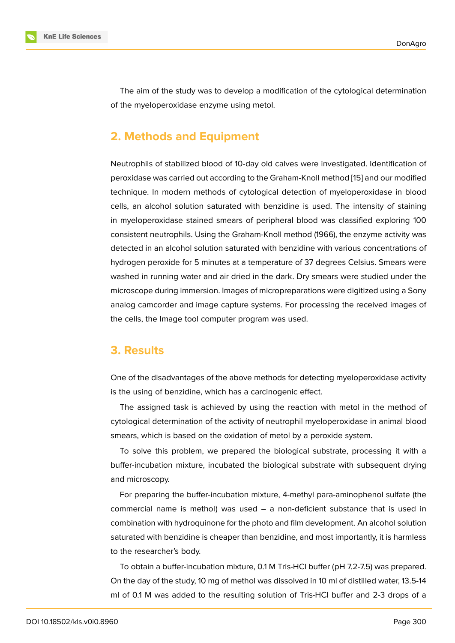The aim of the study was to develop a modification of the cytological determination of the myeloperoxidase enzyme using metol.

### **2. Methods and Equipment**

Neutrophils of stabilized blood of 10-day old calves were investigated. Identification of peroxidase was carried out according to the Graham-Knoll method [15] and our modified technique. In modern methods of cytological detection of myeloperoxidase in blood cells, an alcohol solution saturated with benzidine is used. The intensity of staining in myeloperoxidase stained smears of peripheral blood was clas[sifi](#page-6-8)ed exploring 100 consistent neutrophils. Using the Graham-Knoll method (1966), the enzyme activity was detected in an alcohol solution saturated with benzidine with various concentrations of hydrogen peroxide for 5 minutes at a temperature of 37 degrees Celsius. Smears were washed in running water and air dried in the dark. Dry smears were studied under the microscope during immersion. Images of micropreparations were digitized using a Sony analog camcorder and image capture systems. For processing the received images of the cells, the Image tool computer program was used.

#### **3. Results**

One of the disadvantages of the above methods for detecting myeloperoxidase activity is the using of benzidine, which has a carcinogenic effect.

The assigned task is achieved by using the reaction with metol in the method of cytological determination of the activity of neutrophil myeloperoxidase in animal blood smears, which is based on the oxidation of metol by a peroxide system.

To solve this problem, we prepared the biological substrate, processing it with a buffer-incubation mixture, incubated the biological substrate with subsequent drying and microscopy.

For preparing the buffer-incubation mixture, 4-methyl para-aminophenol sulfate (the commercial name is methol) was used – a non-deficient substance that is used in combination with hydroquinone for the photo and film development. An alcohol solution saturated with benzidine is cheaper than benzidine, and most importantly, it is harmless to the researcher's body.

To obtain a buffer-incubation mixture, 0.1 M Tris-HCl buffer (pH 7.2-7.5) was prepared. On the day of the study, 10 mg of methol was dissolved in 10 ml of distilled water, 13.5-14 ml of 0.1 M was added to the resulting solution of Tris-HCl buffer and 2-3 drops of a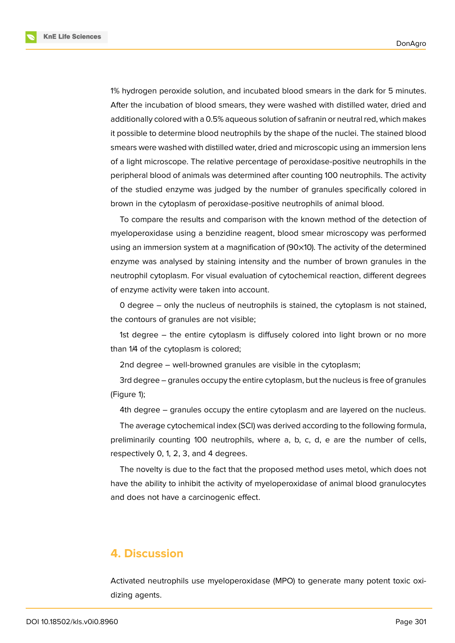1% hydrogen peroxide solution, and incubated blood smears in the dark for 5 minutes. After the incubation of blood smears, they were washed with distilled water, dried and additionally colored with a 0.5% aqueous solution of safranin or neutral red, which makes it possible to determine blood neutrophils by the shape of the nuclei. The stained blood smears were washed with distilled water, dried and microscopic using an immersion lens of a light microscope. The relative percentage of peroxidase-positive neutrophils in the peripheral blood of animals was determined after counting 100 neutrophils. The activity of the studied enzyme was judged by the number of granules specifically colored in brown in the cytoplasm of peroxidase-positive neutrophils of animal blood.

To compare the results and comparison with the known method of the detection of myeloperoxidase using a benzidine reagent, blood smear microscopy was performed using an immersion system at a magnification of (90×10). The activity of the determined enzyme was analysed by staining intensity and the number of brown granules in the neutrophil cytoplasm. For visual evaluation of cytochemical reaction, different degrees of enzyme activity were taken into account.

0 degree – only the nucleus of neutrophils is stained, the cytoplasm is not stained, the contours of granules are not visible;

1st degree – the entire cytoplasm is diffusely colored into light brown or no more than 1/4 of the cytoplasm is colored;

2nd degree – well-browned granules are visible in the cytoplasm;

3rd degree – granules occupy the entire cytoplasm, but the nucleus is free of granules (Figure 1);

4th degree – granules occupy the entire cytoplasm and are layered on the nucleus.

The average cytochemical index (SCI) was derived according to the following formula, prelimi[na](#page-4-0)rily counting 100 neutrophils, where a, b, c, d, e are the number of cells, respectively 0, 1, 2, 3, and 4 degrees.

The novelty is due to the fact that the proposed method uses metol, which does not have the ability to inhibit the activity of myeloperoxidase of animal blood granulocytes and does not have a carcinogenic effect.

#### **4. Discussion**

Activated neutrophils use myeloperoxidase (MPO) to generate many potent toxic oxidizing agents.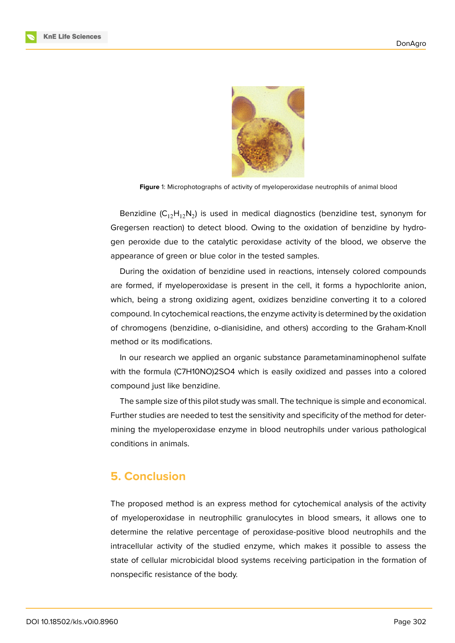

**Figure** 1: Microphotographs of activity of myeloperoxidase neutrophils of animal blood

<span id="page-4-0"></span>Benzidine ( $C_{12}H_{12}N_2$ ) is used in medical diagnostics (benzidine test, synonym for Gregersen reaction) to detect blood. Owing to the oxidation of benzidine by hydrogen peroxide due to the catalytic peroxidase activity of the blood, we observe the appearance of green or blue color in the tested samples.

During the oxidation of benzidine used in reactions, intensely colored compounds are formed, if myeloperoxidase is present in the cell, it forms a hypochlorite anion, which, being a strong oxidizing agent, oxidizes benzidine converting it to a colored compound. In cytochemical reactions, the enzyme activity is determined by the oxidation of chromogens (benzidine, o-dianisidine, and others) according to the Graham-Knoll method or its modifications.

In our research we applied an organic substance рarametaminaminophenol sulfate with the formula (C7H10NO)2SO4 which is easily oxidized and passes into a colored compound just like benzidine.

The sample size of this pilot study was small. The technique is simple and economical. Further studies are needed to test the sensitivity and specificity of the method for determining the myeloperoxidase enzyme in blood neutrophils under various pathological conditions in animals.

## **5. Conclusion**

The proposed method is an express method for cytochemical analysis of the activity of myeloperoxidase in neutrophilic granulocytes in blood smears, it allows one to determine the relative percentage of peroxidase-positive blood neutrophils and the intracellular activity of the studied enzyme, which makes it possible to assess the state of cellular microbicidal blood systems receiving participation in the formation of nonspecific resistance of the body.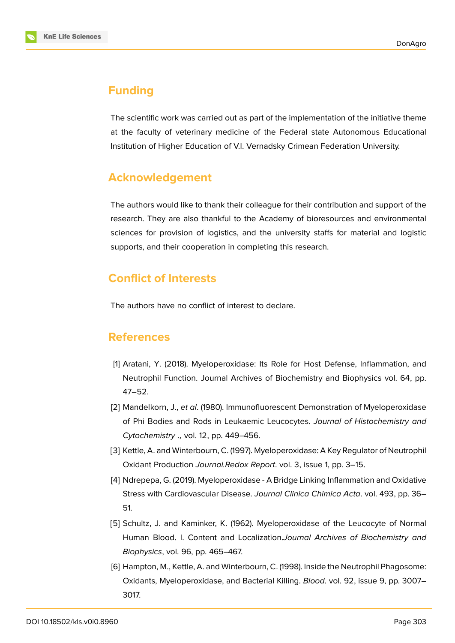

#### **Funding**

The scientific work was carried out as part of the implementation of the initiative theme at the faculty of veterinary medicine of the Federal state Autonomous Educational Institution of Higher Education of V.I. Vernadsky Crimean Federation University.

### **Acknowledgement**

The authors would like to thank their colleague for their contribution and support of the research. They are also thankful to the Academy of bioresources and environmental sciences for provision of logistics, and the university staffs for material and logistic supports, and their cooperation in completing this research.

# **Conflict of Interests**

The authors have no conflict of interest to declare.

#### **References**

- [1] Aratani, Y. (2018). Myeloperoxidase: Its Role for Host Defense, Inflammation, and Neutrophil Function. Journal Archives of Biochemistry and Biophysics vol. 64, pp. 47–52.
- [2] Mandelkorn, J., *et al*. (1980). Immunofluorescent Demonstration of Myeloperoxidase of Phi Bodies and Rods in Leukaemic Leucocytes. *Journal of Histochemistry and Cytochemistry .,* vol. 12, pp. 449–456.
- [3] Kettle, A. and Winterbourn, C. (1997). Myeloperoxidase: A Key Regulator of Neutrophil Oxidant Production *Journal.Redox Report*. vol. 3, issue 1, pp. 3–15.
- [4] Ndrepepa, G. (2019). Myeloperoxidase A Bridge Linking Inflammation and Oxidative Stress with Cardiovascular Disease. *Journal Clinica Chimica Acta*. vol. 493, pp. 36– 51.
- <span id="page-5-0"></span>[5] Schultz, J. and Kaminker, K. (1962). Myeloperoxidase of the Leucocyte of Normal Human Blood. I. Content and Localization.*Journal Archives of Biochemistry and Biophysics*, vol. 96, pp. 465–467.
- <span id="page-5-1"></span>[6] Hampton, M., Kettle, A. and Winterbourn, C. (1998). Inside the Neutrophil Phagosome: Oxidants, Myeloperoxidase, and Bacterial Killing. *Blood*. vol. 92, issue 9, pp. 3007– 3017.